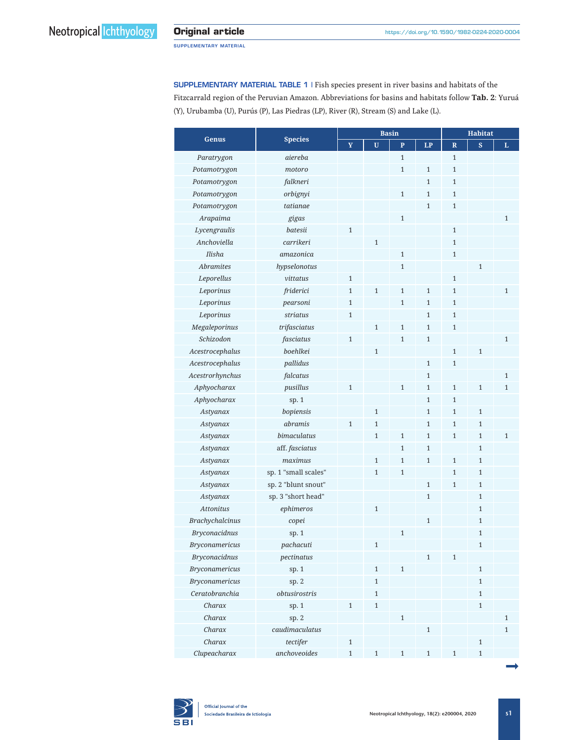SUPPLEMENTARY MATERIAL TABLE 1 | Fish species present in river basins and habitats of the Fitzcarrald region of the Peruvian Amazon. Abbreviations for basins and habitats follow **Tab. 2**: Yuruá (Y), Urubamba (U), Purús (P), Las Piedras (LP), River (R), Stream (S) and Lake (L).

|                        | <b>Species</b>       |              |              | <b>Basin</b>   | <b>Habitat</b> |                         |              |              |
|------------------------|----------------------|--------------|--------------|----------------|----------------|-------------------------|--------------|--------------|
| <b>Genus</b>           |                      | Y            | $\mathbf{U}$ | $\overline{P}$ | LP             | $\overline{\mathbf{R}}$ | $\mathbf{s}$ | L            |
| Paratrygon             | aiereba              |              |              | $\mathbf{1}$   |                | $\mathbf{1}$            |              |              |
| Potamotrygon           | motoro               |              |              | $\mathbf{1}$   | $\mathbf{1}$   | $\mathbf{1}$            |              |              |
| Potamotrygon           | falkneri             |              |              |                | $\mathbf{1}$   | $\mathbf{1}$            |              |              |
| Potamotrygon           | orbignyi             |              |              | $\mathbf{1}$   | $\mathbf{1}$   | $\mathbf{1}$            |              |              |
| Potamotrygon           | tatianae             |              |              |                | $\mathbf{1}$   | $\mathbf{1}$            |              |              |
| Arapaima               | gigas                |              |              | $\mathbf{1}$   |                |                         |              | $\mathbf{1}$ |
| Lycengraulis           | batesii              | $\mathbf{1}$ |              |                |                | $\mathbf{1}$            |              |              |
| Anchoviella            | carrikeri            |              | $\mathbf{1}$ |                |                | $\mathbf{1}$            |              |              |
| Ilisha                 | amazonica            |              |              | $\mathbf{1}$   |                | $\mathbf{1}$            |              |              |
| <b>Abramites</b>       | hypselonotus         |              |              | $\mathbf{1}$   |                |                         | $\mathbf{1}$ |              |
| Leporellus             | vittatus             | $\mathbf{1}$ |              |                |                | $\mathbf{1}$            |              |              |
| Leporinus              | friderici            | $\mathbf{1}$ | $\mathbf{1}$ | $\mathbf{1}$   | $\mathbf{1}$   | $\mathbf{1}$            |              | $\mathbf{1}$ |
| Leporinus              | pearsoni             | $\mathbf{1}$ |              | $\mathbf{1}$   | $\mathbf{1}$   | $\mathbf{1}$            |              |              |
| Leporinus              | striatus             | $\mathbf{1}$ |              |                | $\mathbf{1}$   | $\mathbf{1}$            |              |              |
| Megaleporinus          | trifasciatus         |              | $\mathbf{1}$ | $\mathbf{1}$   | $\mathbf{1}$   | $\mathbf{1}$            |              |              |
| Schizodon              | fasciatus            | $\mathbf{1}$ |              | $\mathbf{1}$   | $\mathbf{1}$   |                         |              | $\mathbf{1}$ |
| Acestrocephalus        | boehlkei             |              | $\mathbf{1}$ |                |                | $\mathbf{1}$            | $\mathbf 1$  |              |
| Acestrocephalus        | pallidus             |              |              |                | $\mathbf{1}$   | $\mathbf{1}$            |              |              |
| Acestrorhynchus        | falcatus             |              |              |                | $\mathbf{1}$   |                         |              | $\mathbf{1}$ |
| Aphyocharax            | pusillus             | $\mathbf{1}$ |              | $\mathbf{1}$   | 1              | $\mathbf{1}$            | $\mathbf{1}$ | $\mathbf{1}$ |
| Aphyocharax            | sp. 1                |              |              |                | $\mathbf{1}$   | $\mathbf{1}$            |              |              |
| Astyanax               | bopiensis            |              | $\mathbf{1}$ |                | $\mathbf{1}$   | $\mathbf{1}$            | $\mathbf{1}$ |              |
| Astyanax               | abramis              | $\mathbf{1}$ | $\mathbf{1}$ |                | $\mathbf{1}$   | $\mathbf{1}$            | $\mathbf{1}$ |              |
| Astyanax               | bimaculatus          |              | $\mathbf{1}$ | $\mathbf{1}$   | $\mathbf{1}$   | $\mathbf{1}$            | $\mathbf{1}$ | $\mathbf{1}$ |
| Astyanax               | aff. fasciatus       |              |              | $\mathbf{1}$   | $\mathbf{1}$   |                         | $\mathbf{1}$ |              |
| Astyanax               | maximus              |              | $\mathbf{1}$ | $\mathbf{1}$   | $\mathbf{1}$   | $\mathbf{1}$            | $\mathbf{1}$ |              |
| Astyanax               | sp. 1 "small scales" |              | $\mathbf{1}$ | $\mathbf{1}$   |                | $\mathbf{1}$            | $\mathbf{1}$ |              |
| Astyanax               | sp. 2 "blunt snout"  |              |              |                | $\mathbf{1}$   | $\mathbf{1}$            | $\mathbf{1}$ |              |
| Astyanax               | sp. 3 "short head"   |              |              |                | $\mathbf{1}$   |                         | $\mathbf{1}$ |              |
| <b>Attonitus</b>       | ephimeros            |              | $\mathbf{1}$ |                |                |                         | $\mathbf{1}$ |              |
| <b>Brachychalcinus</b> | copei                |              |              |                | $\mathbf{1}$   |                         | $\mathbf{1}$ |              |
| <b>Bryconacidnus</b>   | sp. $1$              |              |              | $\mathbf{1}$   |                |                         | $\mathbf{1}$ |              |
| <b>Bryconamericus</b>  | pachacuti            |              | $\mathbf{1}$ |                |                |                         | $\mathbf{1}$ |              |
| <b>Bryconacidnus</b>   | pectinatus           |              |              |                | $1\,$          | $\mathbf{1}$            |              |              |
| <b>Bryconamericus</b>  | sp. 1                |              | $\mathbf{1}$ | $\,1\,$        |                |                         | $\mathbf{1}$ |              |
| <b>Bryconamericus</b>  | sp.2                 |              | $\mathbf{1}$ |                |                |                         | $\mathbf{1}$ |              |
| Ceratobranchia         | obtusirostris        |              | $\mathbf{1}$ |                |                |                         | $\mathbf{1}$ |              |
| Charax                 | sp.1                 | $\mathbf{1}$ | $\mathbf{1}$ |                |                |                         | $\mathbf{1}$ |              |
| Charax                 | sp. 2                |              |              | $\,1\,$        |                |                         |              | $\mathbf{1}$ |
| Charax                 | caudimaculatus       |              |              |                | $\,1\,$        |                         |              | $\mathbf{1}$ |
| Charax                 | tectifer             | $\mathbf{1}$ |              |                |                |                         | $\,1\,$      |              |
| Clupeacharax           | anchoveoides         | $\,1\,$      | $\mathbf{1}$ | $\mathbf{1}$   | $\mathbf{1}$   | $\mathbf{1}$            | $\mathbf{1}$ |              |

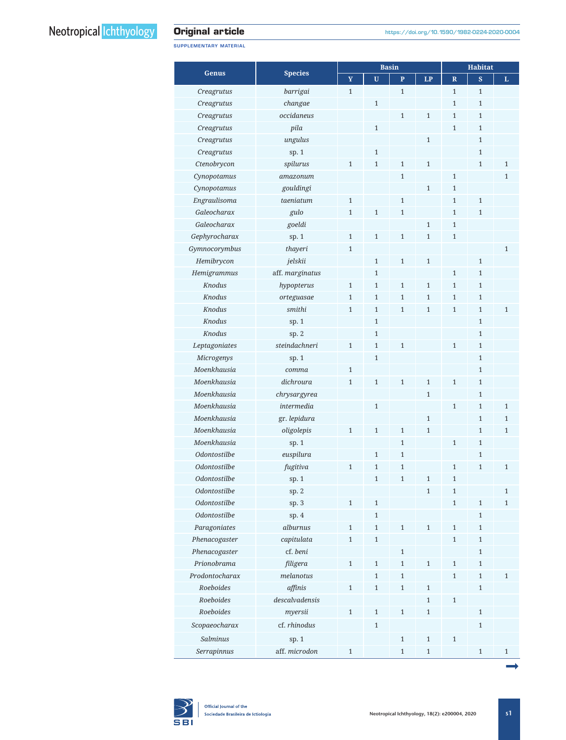SUPPLEMENTARY MATERIAL

|                     |                 |              |                | <b>Basin</b> | <b>Habitat</b> |                         |              |              |
|---------------------|-----------------|--------------|----------------|--------------|----------------|-------------------------|--------------|--------------|
| Genus               | <b>Species</b>  | $\mathbf Y$  | $\mathbf U$    | $\mathbf{P}$ | LP             | $\overline{\mathbf{R}}$ | S            | L            |
| Creagrutus          | barrigai        | $\mathbf{1}$ |                | $\mathbf{1}$ |                | $\mathbf{1}$            | $\mathbf{1}$ |              |
| Creagrutus          | changae         |              | $\mathbf{1}$   |              |                | $\mathbf{1}$            | $\mathbf{1}$ |              |
| Creagrutus          | occidaneous     |              |                | $\mathbf{1}$ | $\mathbf{1}$   | $\mathbf{1}$            | $\mathbf{1}$ |              |
| Creagrutus          | pila            |              | $\mathbf{1}$   |              |                | $\mathbf{1}$            | $\mathbf{1}$ |              |
| Creagrutus          | ungulus         |              |                |              | $1\,$          |                         | $\mathbf{1}$ |              |
| Creagrutus          | sp.1            |              | $\mathbf{1}$   |              |                |                         | $\mathbf{1}$ |              |
| Ctenobrycon         | spilurus        | $\mathbf{1}$ | $\mathbf{1}$   | $\mathbf{1}$ | $\mathbf{1}$   |                         | $\mathbf{1}$ | $\mathbf{1}$ |
| Cynopotamus         | amazonum        |              |                | $\mathbf{1}$ |                | $\mathbf{1}$            |              | $\mathbf{1}$ |
| Cynopotamus         | gouldingi       |              |                |              | $\mathbf 1$    | $\mathbf{1}$            |              |              |
| Engraulisoma        | taeniatum       | $\mathbf{1}$ |                | $\mathbf{1}$ |                | $\mathbf{1}$            | $\mathbf{1}$ |              |
| Galeocharax         | gulo            | $\mathbf{1}$ | $\mathbf 1$    | $\mathbf 1$  |                | $\mathbf{1}$            | $\mathbf{1}$ |              |
| Galeocharax         | goeldi          |              |                |              | $\mathbf{1}$   | $\mathbf{1}$            |              |              |
| Gephyrocharax       | sp. 1           | $\mathbf{1}$ | $\mathbf{1}$   | $\mathbf{1}$ | $\mathbf{1}$   | $\mathbf{1}$            |              |              |
| Gymnocorymbus       | thayeri         | $\mathbf{1}$ |                |              |                |                         |              | $\mathbf{1}$ |
| Hemibrycon          | jelskii         |              | $\mathbf 1$    | $\mathbf 1$  | $\,1\,$        |                         | $\mathbf{1}$ |              |
| Hemigrammus         | aff. marginatus |              | $\mathbf{1}$   |              |                | $\mathbf{1}$            | $\mathbf{1}$ |              |
| <b>Knodus</b>       | hypopterus      | $\mathbf 1$  | $\mathbf{1}$   | $1\,$        | $\mathbf{1}$   | $\mathbf{1}$            | $\mathbf{1}$ |              |
| Knodus              | orteguasae      | $\mathbf{1}$ | $\mathbf{1}$   | $\mathbf{1}$ | $\mathbf{1}$   | $\mathbf{1}$            | $\mathbf{1}$ |              |
| Knodus              | smithi          | $\mathbf{1}$ | $\mathbf{1}$   | $\mathbf{1}$ | $\mathbf{1}$   | $\mathbf{1}$            | $\mathbf{1}$ | $\mathbf{1}$ |
| Knodus              | sp.1            |              | $\mathbf{1}$   |              |                |                         | $\mathbf{1}$ |              |
| <b>Knodus</b>       | sp. 2           |              | $\mathbf{1}$   |              |                |                         | $\mathbf{1}$ |              |
| Leptagoniates       | steindachneri   | $\mathbf{1}$ | $\mathbf{1}$   | $\mathbf{1}$ |                | $\mathbf{1}$            | $\mathbf{1}$ |              |
| Microgenys          | sp. 1           |              | $\mathbf 1$    |              |                |                         | $\mathbf{1}$ |              |
| Moenkhausia         | comma           | $\mathbf{1}$ |                |              |                |                         | $\mathbf{1}$ |              |
| Moenkhausia         | dichroura       | $\mathbf{1}$ | $\,1\,$        | $\mathbf 1$  | $\mathbf{1}$   | $\mathbf{1}$            | $\mathbf{1}$ |              |
| Moenkhausia         | chrysargyrea    |              |                |              | $\mathbf{1}$   |                         | $\mathbf{1}$ |              |
| Moenkhausia         | intermedia      |              | $\mathbf{1}$   |              |                | $\mathbf{1}$            | $\mathbf{1}$ | $\mathbf{1}$ |
| Moenkhausia         | gr. lepidura    |              |                |              | $\mathbf{1}$   |                         | $\mathbf{1}$ | $\mathbf{1}$ |
| Moenkhausia         | oligolepis      | $\mathbf{1}$ | $1\,$          | $\mathbf 1$  | $\mathbf{1}$   |                         | $\mathbf{1}$ | $\mathbf{1}$ |
| Moenkhausia         | sp. 1           |              |                | $\mathbf{1}$ |                | $\mathbf{1}$            | $\mathbf{1}$ |              |
| Odontostilbe        | euspilura       |              | $\mathbf{1}$   | $\mathbf{1}$ |                |                         | 1            |              |
| Odontostilbe        | fugitiva        | $\mathbf{1}$ | $\mathbf{1}$   | $\mathbf{1}$ |                | $\mathbf{1}$            | $\mathbf{1}$ | $\mathbf{1}$ |
| Odontostilbe        | sp. 1           |              | $\overline{1}$ | $\mathbf{1}$ | 1              | $\mathbf{1}$            |              |              |
| Odontostilbe        | sp. 2           |              |                |              | $\mathbf 1$    | $\mathbf{1}$            |              | $\mathbf{1}$ |
| <b>Odontostilbe</b> | sp. 3           | $1\,$        | $\,1\,$        |              |                | $\mathbf{1}$            | $\mathbf 1$  | $\mathbf{1}$ |
| Odontostilbe        | sp. $4$         |              | $\mathbf{1}$   |              |                |                         | $\mathbf{1}$ |              |
| Paragoniates        | alburnus        | $\mathbf{1}$ | $\mathbf{1}$   | $\mathbf{1}$ | $\mathbf{1}$   | $\mathbf{1}$            | $\mathbf{1}$ |              |
| Phenacogaster       | capitulata      | $\mathbf{1}$ | $\mathbf{1}$   |              |                | $\mathbf{1}$            | $\mathbf{1}$ |              |
| Phenacogaster       | cf. beni        |              |                | $\mathbf{1}$ |                |                         | $\mathbf{1}$ |              |
| Prionobrama         | filigera        | $\,1\,$      | $\,1\,$        | $\mathbf{1}$ | $\,1\,$        | $\mathbf 1$             | $\mathbf{1}$ |              |
| Prodontocharax      | melanotus       |              | $\mathbf{1}$   | $\mathbf{1}$ |                | $\mathbf{1}$            | $\mathbf{1}$ | $\mathbf{1}$ |
| Roeboides           | affinis         | $\mathbf 1$  | $\mathbf{1}$   | $\mathbf{1}$ | $\,1\,$        |                         | $\mathbf{1}$ |              |
| Roeboides           | descalvadensis  |              |                |              | $\mathbf{1}$   | $\mathbf 1$             |              |              |
| Roeboides           | myersii         | $\mathbf{1}$ | $\mathbf{1}$   | $\mathbf{1}$ | $\mathbf{1}$   |                         | $\mathbf{1}$ |              |
| Scopaeocharax       | cf. rhinodus    |              | $\mathbf{1}$   |              |                |                         | $\mathbf{1}$ |              |
| <b>Salminus</b>     | sp. 1           |              |                | $\mathbf{1}$ | $\mathbf{1}$   | $\mathbf{1}$            |              |              |
|                     |                 |              |                |              |                |                         | $\mathbf{1}$ |              |
| Serrapinnus         | aff. microdon   | $\mathbf{1}$ |                | $\mathbf{1}$ | $\mathbf{1}$   |                         |              | $\mathbf{1}$ |

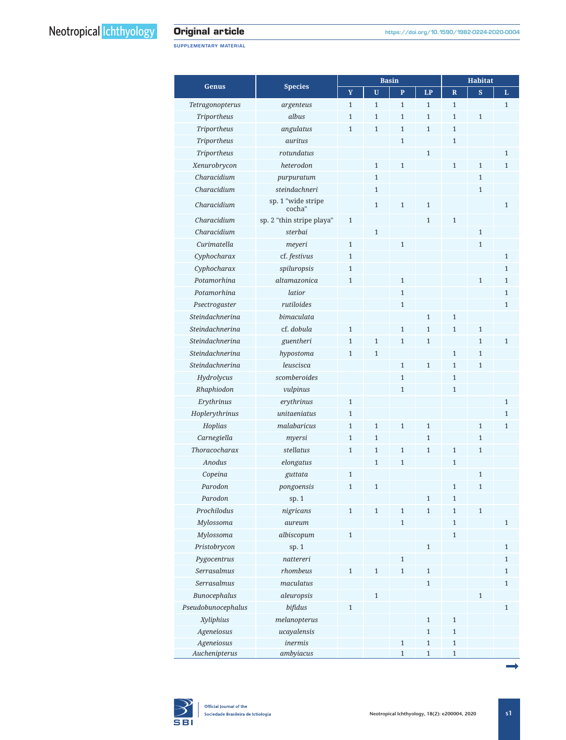SUPPLEMENTARY MATERIAL

|                    |                           |              |              | <b>Basin</b>   | <b>Habitat</b> |                         |                         |              |
|--------------------|---------------------------|--------------|--------------|----------------|----------------|-------------------------|-------------------------|--------------|
| Genus              | <b>Species</b>            | Y            | $\mathbf{U}$ | $\overline{P}$ | LP             | $\overline{\mathbf{R}}$ | $\overline{\mathbf{s}}$ | L            |
| Tetragonopterus    | argenteus                 | $\mathbf{1}$ | $\mathbf{1}$ | $\mathbf{1}$   | $\mathbf{1}$   | $\mathbf{1}$            |                         | $\mathbf{1}$ |
| <b>Triportheus</b> | albus                     | $\mathbf{1}$ | $\mathbf{1}$ | $\mathbf{1}$   | $\mathbf{1}$   | $\mathbf{1}$            | $\mathbf{1}$            |              |
| <b>Triportheus</b> | angulatus                 | $\mathbf{1}$ | $\mathbf{1}$ | $\mathbf{1}$   | $\mathbf{1}$   | $\mathbf{1}$            |                         |              |
| <b>Triportheus</b> | auritus                   |              |              | $\mathbf{1}$   |                | $\mathbf{1}$            |                         |              |
| Triportheus        | rotundatus                |              |              |                | $\mathbf{1}$   |                         |                         | $\mathbf{1}$ |
| Xenurobrycon       | heterodon                 |              | $\mathbf{1}$ | $\mathbf{1}$   |                | $\mathbf{1}$            | $\mathbf{1}$            | $\mathbf{1}$ |
| Characidium        | purpuratum                |              | $\mathbf{1}$ |                |                |                         | $\mathbf{1}$            |              |
| Characidium        | steindachneri             |              | $\mathbf{1}$ |                |                |                         | $\mathbf{1}$            |              |
|                    | sp. 1 "wide stripe        |              |              |                |                |                         |                         |              |
| Characidium        | cocha"                    |              | $\mathbf{1}$ | $\mathbf{1}$   | $\mathbf{1}$   |                         |                         | $\mathbf{1}$ |
| Characidium        | sp. 2 "thin stripe playa" | $\mathbf{1}$ |              |                | $\mathbf{1}$   | $\mathbf{1}$            |                         |              |
| Characidium        | sterbai                   |              | $\mathbf{1}$ |                |                |                         | $\mathbf{1}$            |              |
| Curimatella        | meyeri                    | $\mathbf{1}$ |              | $\mathbf{1}$   |                |                         | $\mathbf{1}$            |              |
| Cyphocharax        | cf. festivus              | $\mathbf{1}$ |              |                |                |                         |                         | $\mathbf{1}$ |
| Cyphocharax        | spiluropsis               | $\mathbf{1}$ |              |                |                |                         |                         | $\mathbf{1}$ |
| Potamorhina        | altamazonica              | $\mathbf{1}$ |              | $\mathbf{1}$   |                |                         | $\mathbf{1}$            | $\mathbf{1}$ |
| Potamorhina        | latior                    |              |              | $\mathbf{1}$   |                |                         |                         | $\mathbf{1}$ |
| Psectrogaster      | rutiloides                |              |              | $\mathbf{1}$   |                |                         |                         | $\mathbf{1}$ |
| Steindachnerina    | bimaculata                |              |              |                | $\mathbf{1}$   | $\mathbf{1}$            |                         |              |
| Steindachnerina    | cf. dobula                | $\mathbf{1}$ |              | $\mathbf{1}$   | $\mathbf{1}$   | $\mathbf{1}$            | $\mathbf{1}$            |              |
| Steindachnerina    | guentheri                 | $\mathbf{1}$ | $\mathbf{1}$ | $\mathbf{1}$   | $\mathbf{1}$   |                         | $\mathbf{1}$            | $\mathbf{1}$ |
| Steindachnerina    | hypostoma                 | $\mathbf{1}$ | $\mathbf{1}$ |                |                | $\mathbf{1}$            | $\mathbf{1}$            |              |
| Steindachnerina    | leuscisca                 |              |              | $\mathbf{1}$   | $\mathbf{1}$   | $\mathbf{1}$            | $\mathbf{1}$            |              |
| Hydrolycus         | scomberoides              |              |              | $\mathbf{1}$   |                | $\mathbf{1}$            |                         |              |
| Rhaphiodon         | vulpinus                  |              |              | $\mathbf{1}$   |                | $\mathbf{1}$            |                         |              |
| Erythrinus         | erythrinus                | $\mathbf{1}$ |              |                |                |                         |                         | $\mathbf{1}$ |
| Hoplerythrinus     | unitaeniatus              | $\mathbf{1}$ |              |                |                |                         |                         | $\mathbf{1}$ |
| Hoplias            | malabaricus               | $\mathbf{1}$ | $\mathbf{1}$ | $\mathbf{1}$   | $\mathbf{1}$   |                         | $\mathbf{1}$            | $\mathbf{1}$ |
| Carnegiella        | myersi                    | $\mathbf{1}$ | $\mathbf{1}$ |                | $\mathbf{1}$   |                         | $\mathbf{1}$            |              |
| Thoracocharax      | stellatus                 | $\mathbf{1}$ | $\mathbf{1}$ | $\mathbf{1}$   | $\mathbf{1}$   | $\mathbf{1}$            | $\mathbf{1}$            |              |
| Anodus             | elongatus                 |              | $\mathbf 1$  | $\mathbf{1}$   |                | $\mathbf{1}$            |                         |              |
| Copeina            | guttata                   | $\mathbf{1}$ |              |                |                |                         | $\mathbf{1}$            |              |
| Parodon            | pongoensis                | $\mathbf{1}$ | $\mathbf{1}$ |                |                | $\mathbf{1}$            | $\mathbf{1}$            |              |
| Parodon            | sp. 1                     |              |              |                | $\mathbf{1}$   | $\mathbf{1}$            |                         |              |
| Prochilodus        | nigricans                 | $\mathbf{1}$ | $\,1\,$      | $\mathbf{1}$   | $\mathbf{1}$   | $\mathbf{1}$            | $1\,$                   |              |
| Mylossoma          | aureum                    |              |              | $\mathbf{1}$   |                | $\mathbf{1}$            |                         | $\mathbf{1}$ |
| Mylossoma          | albiscopum                | $\mathbf{1}$ |              |                |                | $\mathbf{1}$            |                         |              |
| Pristobrycon       | sp. 1                     |              |              |                | $\mathbf{1}$   |                         |                         | $\mathbf{1}$ |
| Pygocentrus        | nattereri                 |              |              | $\mathbf{1}$   |                |                         |                         | $\mathbf{1}$ |
| <b>Serrasalmus</b> | rhombeus                  | $\mathbf{1}$ | $\mathbf{1}$ | $\mathbf{1}$   | $\mathbf{1}$   |                         |                         | $\mathbf{1}$ |
| Serrasalmus        | maculatus                 |              |              |                | $\mathbf{1}$   |                         |                         | $\mathbf{1}$ |
| Bunocephalus       | aleuropsis                |              | $\mathbf{1}$ |                |                |                         | $\mathbf{1}$            |              |
| Pseudobunocephalus | bifidus                   | $\mathbf{1}$ |              |                |                |                         |                         | $\mathbf{1}$ |
| Xyliphius          | melanopterus              |              |              |                | $\mathbf{1}$   | $\mathbf{1}$            |                         |              |
| Ageneiosus         | ucayalensis               |              |              |                | $\mathbf{1}$   | $\mathbf 1$             |                         |              |
| Ageneiosus         | inermis                   |              |              | $\mathbf{1}$   | $\mathbf{1}$   | $\mathbf 1$             |                         |              |
| Auchenipterus      | ambyiacus                 |              |              | $\mathbf{1}$   | $\overline{1}$ | $\mathbf 1$             |                         |              |
|                    |                           |              |              |                |                |                         |                         |              |

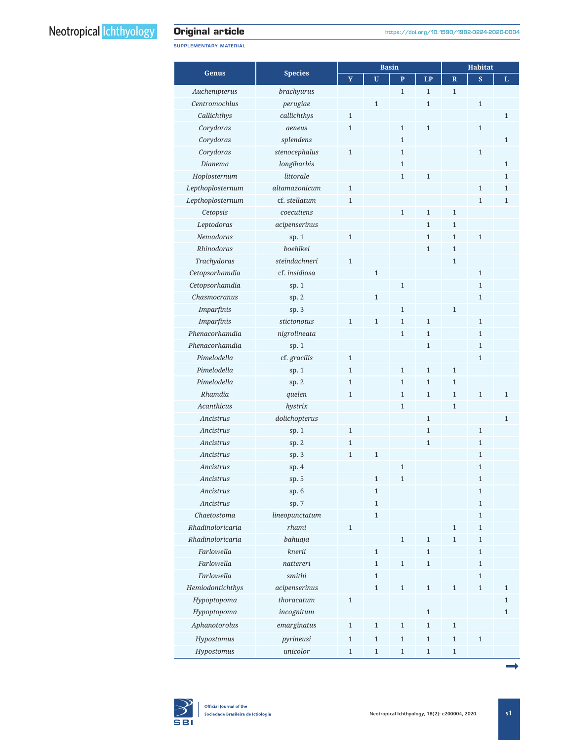SUPPLEMENTARY MATERIAL

|                   |                |                |              | <b>Basin</b> | <b>Habitat</b> |                |                |              |
|-------------------|----------------|----------------|--------------|--------------|----------------|----------------|----------------|--------------|
| Genus             | <b>Species</b> | $\mathbf Y$    | U            | $\mathbf{P}$ | LP             | $\mathbb{R}$   | $\mathbf{s}$   | L            |
| Auchenipterus     | brachyurus     |                |              | $\mathbf{1}$ | $\mathbf{1}$   | $\overline{1}$ |                |              |
| Centromochlus     | perugiae       |                | $\mathbf{1}$ |              | $\mathbf{1}$   |                | $\mathbf{1}$   |              |
| Callichthys       | callichthys    | $\mathbf{1}$   |              |              |                |                |                | $\mathbf{1}$ |
| Corydoras         | aeneus         | $\mathbf{1}$   |              | $\mathbf{1}$ | $\mathbf{1}$   |                | $\mathbf{1}$   |              |
| Corydoras         | splendens      |                |              | $\mathbf{1}$ |                |                |                | $\mathbf{1}$ |
| Corydoras         | stenocephalus  | $\mathbf{1}$   |              | $\mathbf{1}$ |                |                | $\mathbf{1}$   |              |
| Dianema           | longibarbis    |                |              | $\mathbf{1}$ |                |                |                | $\mathbf{1}$ |
| Hoplosternum      | littorale      |                |              | $\mathbf{1}$ | $\mathbf{1}$   |                |                | $\mathbf{1}$ |
| Lepthoplosternum  | altamazonicum  | $\mathbf{1}$   |              |              |                |                | $\overline{1}$ | $\mathbf{1}$ |
| Lepthoplosternum  | cf. stellatum  | $\mathbf{1}$   |              |              |                |                | $\mathbf{1}$   | $\mathbf{1}$ |
| Cetopsis          | coecutiens     |                |              | $\mathbf{1}$ | $\mathbf{1}$   | $\mathbf{1}$   |                |              |
| Leptodoras        | acipenserinus  |                |              |              | $\mathbf{1}$   | $\mathbf{1}$   |                |              |
| Nemadoras         | sp. 1          | $\mathbf{1}$   |              |              | $\mathbf{1}$   | $\overline{1}$ | $\mathbf{1}$   |              |
| Rhinodoras        | boehlkei       |                |              |              | $\mathbf{1}$   | $\mathbf{1}$   |                |              |
|                   | steindachneri  | $\overline{1}$ |              |              |                | $\mathbf{1}$   |                |              |
| Trachydoras       | cf. insidiosa  |                |              |              |                |                |                |              |
| Cetopsorhamdia    |                |                | $\mathbf{1}$ |              |                |                | $\mathbf{1}$   |              |
| Cetopsorhamdia    | sp. $1$        |                |              | $\mathbf{1}$ |                |                | $\mathbf{1}$   |              |
| Chasmocranus      | sp. 2          |                | $\mathbf{1}$ |              |                |                | 1              |              |
| <b>Imparfinis</b> | sp.3           |                |              | $\mathbf{1}$ |                | $\mathbf{1}$   |                |              |
| Imparfinis        | stictonotus    | $\mathbf{1}$   | $\mathbf{1}$ | $\mathbf{1}$ | $\mathbf{1}$   |                | $\mathbf{1}$   |              |
| Phenacorhamdia    | nigrolineata   |                |              | $\mathbf{1}$ | $\mathbf{1}$   |                | $\mathbf{1}$   |              |
| Phenacorhamdia    | sp. 1          |                |              |              | $\mathbf{1}$   |                | $\mathbf{1}$   |              |
| Pimelodella       | cf. gracilis   | $\mathbf{1}$   |              |              |                |                | 1              |              |
| Pimelodella       | sp. 1          | $\mathbf{1}$   |              | $\mathbf{1}$ | $\mathbf{1}$   | $\mathbf{1}$   |                |              |
| Pimelodella       | sp. 2          | $\mathbf{1}$   |              | $\mathbf{1}$ | $\mathbf{1}$   | $\mathbf{1}$   |                |              |
| Rhamdia           | quelen         | $\mathbf{1}$   |              | $\mathbf{1}$ | $\mathbf{1}$   | $\mathbf{1}$   | $\mathbf{1}$   | $\mathbf{1}$ |
| Acanthicus        | hystrix        |                |              | $\mathbf{1}$ |                | 1              |                |              |
| Ancistrus         | dolichopterus  |                |              |              | $\mathbf{1}$   |                |                | $\mathbf{1}$ |
| Ancistrus         | sp. 1          | $\mathbf{1}$   |              |              | $\mathbf{1}$   |                | $\mathbf{1}$   |              |
| Ancistrus         | sp.2           | $\mathbf{1}$   |              |              | $\mathbf{1}$   |                | $\mathbf{1}$   |              |
| Ancistrus         | sp. 3          | $\mathbf{1}$   | $\mathbf{1}$ |              |                |                | 1              |              |
| Ancistrus         | sp. $4$        |                |              | $\mathbf{1}$ |                |                | $\mathbf{1}$   |              |
| Ancistrus         | sp. 5          |                | $\mathbf{1}$ |              |                |                | T              |              |
| Ancistrus         | sp. 6          |                | $\mathbf{1}$ |              |                |                | $\mathbf{1}$   |              |
| Ancistrus         | sp. 7          |                | $\mathbf{1}$ |              |                |                | $\mathbf{1}$   |              |
| Chaetostoma       | lineopunctatum |                | $\mathbf{1}$ |              |                |                | $\mathbf{1}$   |              |
| Rhadinoloricaria  | rhami          | $\mathbf{1}$   |              |              |                | $\mathbf{1}$   | $\mathbf{1}$   |              |
| Rhadinoloricaria  | bahuaja        |                |              | $\,1\,$      | $\mathbf 1$    | $\mathbf 1$    | $\mathbf{1}$   |              |
| Farlowella        | knerii         |                | $\,1\,$      |              | $\mathbf{1}$   |                | $\mathbf{1}$   |              |
| Farlowella        | nattereri      |                | $\mathbf{1}$ | $\mathbf{1}$ | $\mathbf{1}$   |                | $\mathbf{1}$   |              |
| Farlowella        | smithi         |                | $\mathbf{1}$ |              |                |                | 1              |              |
| Hemiodontichthys  | acipenserinus  |                | $\mathbf{1}$ | $\mathbf{1}$ | $\mathbf{1}$   | $\mathbf{1}$   | $\mathbf{1}$   | $\mathbf{1}$ |
| Hypoptopoma       | thoracatum     | $\mathbf{1}$   |              |              |                |                |                | $\mathbf{1}$ |
| Hypoptopoma       | incognitum     |                |              |              | $\mathbf{1}$   |                |                | $\mathbf{1}$ |
| Aphanotorolus     | emarginatus    | $\mathbf{1}$   | $\mathbf{1}$ | $\mathbf{1}$ | $\mathbf{1}$   | $1\,$          |                |              |
| Hypostomus        | pyrineusi      | $\mathbf{1}$   | $\mathbf{1}$ | $\,1\,$      | $\mathbf{1}$   | $\mathbf{1}$   | $\mathbf{1}$   |              |
| Hypostomus        | unicolor       | $\mathbf{1}$   | $\mathbf{1}$ | $\mathbf{1}$ | $\mathbf{1}$   | $\mathbf{1}$   |                |              |

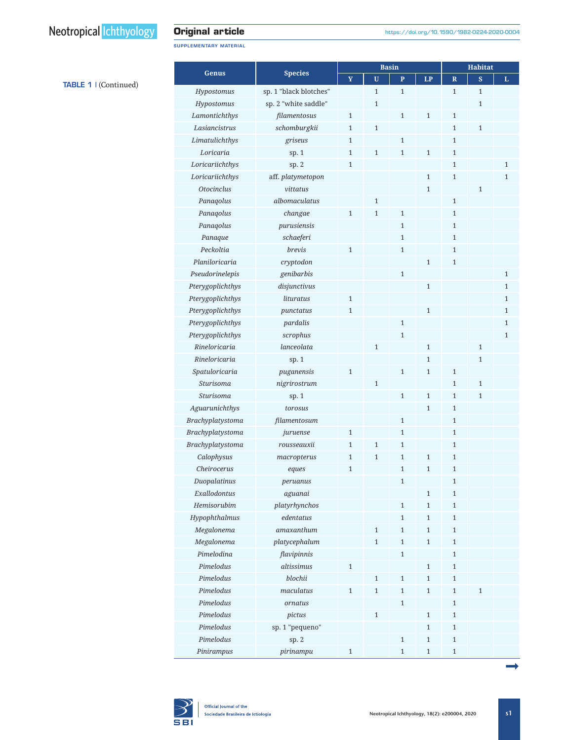TABLE 1 | (Continued)

## **Original article**

SUPPLEMENTARY MATERIAL

|                   |                        | <b>Basin</b> |                |              |              | <b>Habitat</b> |                |              |  |  |
|-------------------|------------------------|--------------|----------------|--------------|--------------|----------------|----------------|--------------|--|--|
| <b>Genus</b>      | <b>Species</b>         | Y            | U              | $\mathbf{P}$ | LP           | $\mathbb{R}$   | $\mathbf{s}$   | L            |  |  |
| Hypostomus        | sp. 1 "black blotches" |              | $\mathbf{1}$   | $\mathbf{1}$ |              | $\mathbf{1}$   | $\mathbf{1}$   |              |  |  |
| Hypostomus        | sp. 2 "white saddle"   |              | $\overline{1}$ |              |              |                | $\mathbf{1}$   |              |  |  |
| Lamontichthys     | filamentosus           | $\mathbf 1$  |                | $\mathbf{1}$ | $1\,$        | $1\,$          |                |              |  |  |
| Lasiancistrus     | schomburgkii           | $\mathbf{1}$ | $\mathbf{1}$   |              |              | $\mathbf{1}$   | $\mathbf{1}$   |              |  |  |
| Limatulichthys    | griseus                | $\mathbf{1}$ |                | $\mathbf{1}$ |              | $\mathbf{1}$   |                |              |  |  |
| Loricaria         | sp. 1                  | $\mathbf{1}$ | $\mathbf{1}$   | $\mathbf{1}$ | $\mathbf{1}$ | $\mathbf{1}$   |                |              |  |  |
| Loricariichthys   | sp.2                   | $\mathbf{1}$ |                |              |              | $\mathbf{1}$   |                | $\mathbf{1}$ |  |  |
| Loricariichthys   | aff. platymetopon      |              |                |              | $\mathbf{1}$ | $\mathbf{1}$   |                | $\mathbf{1}$ |  |  |
| <b>Otocinclus</b> | vittatus               |              |                |              | $\mathbf{1}$ |                | $\overline{1}$ |              |  |  |
| Panaqolus         | albomaculatus          |              | $\mathbf{1}$   |              |              | $\mathbf{1}$   |                |              |  |  |
| Panaqolus         | changae                | $\mathbf{1}$ | $\mathbf{1}$   | $\mathbf{1}$ |              | $\mathbf{1}$   |                |              |  |  |
| Panaqolus         | purusiensis            |              |                | $\mathbf{1}$ |              | $\mathbf{1}$   |                |              |  |  |
| Panaque           | schaeferi              |              |                | $\mathbf{1}$ |              | $\mathbf{1}$   |                |              |  |  |
| Peckoltia         | brevis                 | $\mathbf{1}$ |                | $\mathbf{1}$ |              | $\mathbf{1}$   |                |              |  |  |
| Planiloricaria    | cryptodon              |              |                |              | $\mathbf{1}$ | $\mathbf{1}$   |                |              |  |  |
| Pseudorinelepis   | genibarbis             |              |                | $\mathbf{1}$ |              |                |                | $\mathbf{1}$ |  |  |
| Pterygoplichthys  | disjunctivus           |              |                |              | $\mathbf{1}$ |                |                | $\mathbf{1}$ |  |  |
| Pterygoplichthys  | lituratus              | $\mathbf{1}$ |                |              |              |                |                | $\mathbf{1}$ |  |  |
| Pterygoplichthys  | punctatus              | $\mathbf{1}$ |                |              | $\mathbf{1}$ |                |                | $\mathbf{1}$ |  |  |
| Pterygoplichthys  | pardalis               |              |                | $\mathbf{1}$ |              |                |                | 1            |  |  |
| Pterygoplichthys  | scrophus               |              |                | $\mathbf{1}$ |              |                |                | $\mathbf{1}$ |  |  |
| Rineloricaria     | lanceolata             |              | $\mathbf{1}$   |              | $\mathbf{1}$ |                | $\mathbf{1}$   |              |  |  |
| Rineloricaria     | sp. 1                  |              |                |              | $\mathbf{1}$ |                | $\mathbf{1}$   |              |  |  |
| Spatuloricaria    | puganensis             | $\mathbf{1}$ |                | $\mathbf{1}$ | $\mathbf{1}$ | $\mathbf{1}$   |                |              |  |  |
| <b>Sturisoma</b>  | nigrirostrum           |              | $\overline{1}$ |              |              | $\mathbf{1}$   | $\mathbf{1}$   |              |  |  |
| <b>Sturisoma</b>  | sp. 1                  |              |                | $\mathbf{1}$ | $\mathbf{1}$ | $\mathbf{1}$   | $\mathbf{1}$   |              |  |  |
| Aguarunichthys    | torosus                |              |                |              | 1            | $\mathbf{1}$   |                |              |  |  |
| Brachyplatystoma  | filamentosum           |              |                | $\mathbf{1}$ |              | $\mathbf{1}$   |                |              |  |  |
| Brachyplatystoma  | juruense               | $\mathbf{1}$ |                | $\mathbf{1}$ |              | $\mathbf{1}$   |                |              |  |  |
| Brachyplatystoma  | rousseauxii            | $\mathbf{1}$ | $\mathbf{1}$   | $\mathbf{1}$ |              | $\mathbf{1}$   |                |              |  |  |
| Calophysus        | macropterus            | $\mathbf{1}$ | $\overline{1}$ | 1            | $\mathbf{1}$ | $\mathbf{1}$   |                |              |  |  |
| Cheirocerus       | eques                  | $\mathbf{1}$ |                | 1            | $\mathbf{1}$ | $\mathbf{1}$   |                |              |  |  |
| Duopalatinus      | peruanus               |              |                | $\mathbf{1}$ |              | $\mathbf{1}$   |                |              |  |  |
| Exallodontus      | aguanai                |              |                |              | $\,1\,$      | $1\,$          |                |              |  |  |
| Hemisorubim       | platyrhynchos          |              |                | $\mathbf{1}$ | $\mathbf{1}$ | $1\,$          |                |              |  |  |
| Hypophthalmus     | edentatus              |              |                | $\mathbf{1}$ | $\mathbf{1}$ | $\mathbf{1}$   |                |              |  |  |
| Megalonema        | amaxanthum             |              | $\mathbf{1}$   | $\mathbf{1}$ | $\mathbf{1}$ | $\mathbf 1$    |                |              |  |  |
| Megalonema        | platycephalum          |              | $\overline{1}$ | $\mathbf{1}$ | $\mathbf{1}$ | $\mathbf{1}$   |                |              |  |  |
| Pimelodina        | flavipinnis            |              |                | $\mathbf{1}$ |              | $1\,$          |                |              |  |  |
| Pimelodus         | altissimus             | $\,1\,$      |                |              | $1\,$        | $1\,$          |                |              |  |  |
| Pimelodus         | blochii                |              | $\mathbf{1}$   | $\mathbf 1$  | $\mathbf{1}$ | $\mathbf{1}$   |                |              |  |  |
| Pimelodus         | maculatus              | $\mathbf{1}$ | $\mathbf{1}$   | $\mathbf{1}$ | $\mathbf{1}$ | $1\,$          | $\mathbf{1}$   |              |  |  |
| Pimelodus         | ornatus                |              |                | $\mathbf{1}$ |              | $1\,$          |                |              |  |  |
| Pimelodus         | pictus                 |              | $\mathbf{1}$   |              | $\mathbf{1}$ | $\mathbf{1}$   |                |              |  |  |
| Pimelodus         | sp. 1 "pequeno"        |              |                |              | $\mathbf{1}$ | $\,1\,$        |                |              |  |  |
| Pimelodus         | sp. 2                  |              |                | $\mathbf 1$  | $\mathbf{1}$ | $1\,$          |                |              |  |  |
| Pinirampus        | pirinampu              | $\,1\,$      |                | $\mathbf{1}$ | $1\,$        | $\,1\,$        |                |              |  |  |